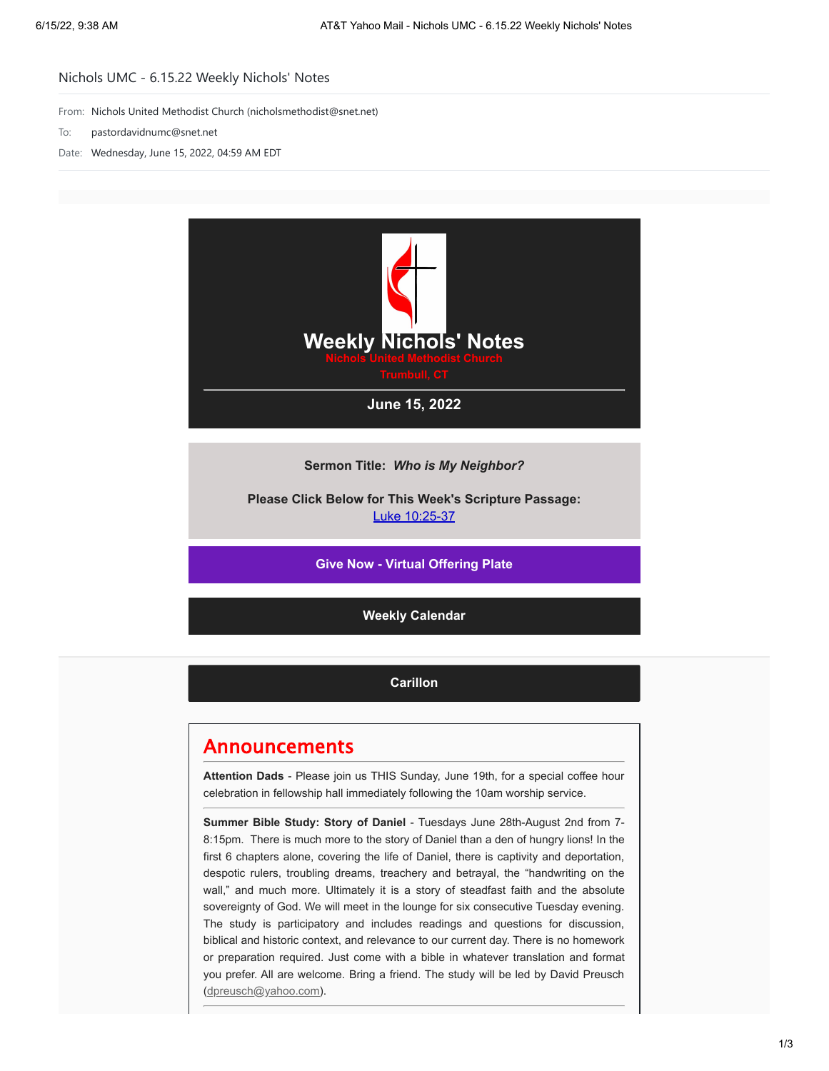## Nichols UMC - 6.15.22 Weekly Nichols' Notes

From: Nichols United Methodist Church (nicholsmethodist@snet.net)

- To: pastordavidnumc@snet.net
- Date: Wednesday, June 15, 2022, 04:59 AM EDT



**Sermon Title:** *Who is My Neighbor?*

**Please Click Below for This Week's Scripture Passage:** [Luke 10:25-37](https://nicholsumc.us4.list-manage.com/track/click?u=d09532b52f4e74b81f543ac42&id=8f0f3586d3&e=9e577d7e6a)

**[Give Now - Virtual Offering Plate](https://nicholsumc.us4.list-manage.com/track/click?u=d09532b52f4e74b81f543ac42&id=471ad17d46&e=9e577d7e6a)**

**[Weekly Calendar](https://nicholsumc.us4.list-manage.com/track/click?u=d09532b52f4e74b81f543ac42&id=851774331b&e=9e577d7e6a)**

**[Carillon](https://nicholsumc.us4.list-manage.com/track/click?u=d09532b52f4e74b81f543ac42&id=56851ae00d&e=9e577d7e6a)**

## Announcements

**Attention Dads** - Please join us THIS Sunday, June 19th, for a special coffee hour celebration in fellowship hall immediately following the 10am worship service.

**Summer Bible Study: Story of Daniel** - Tuesdays June 28th-August 2nd from 7- 8:15pm. There is much more to the story of Daniel than a den of hungry lions! In the first 6 chapters alone, covering the life of Daniel, there is captivity and deportation, despotic rulers, troubling dreams, treachery and betrayal, the "handwriting on the wall," and much more. Ultimately it is a story of steadfast faith and the absolute sovereignty of God. We will meet in the lounge for six consecutive Tuesday evening. The study is participatory and includes readings and questions for discussion, biblical and historic context, and relevance to our current day. There is no homework or preparation required. Just come with a bible in whatever translation and format you prefer. All are welcome. Bring a friend. The study will be led by David Preusch [\(dpreusch@yahoo.com](mailto:dpreusch@yahoo.com)).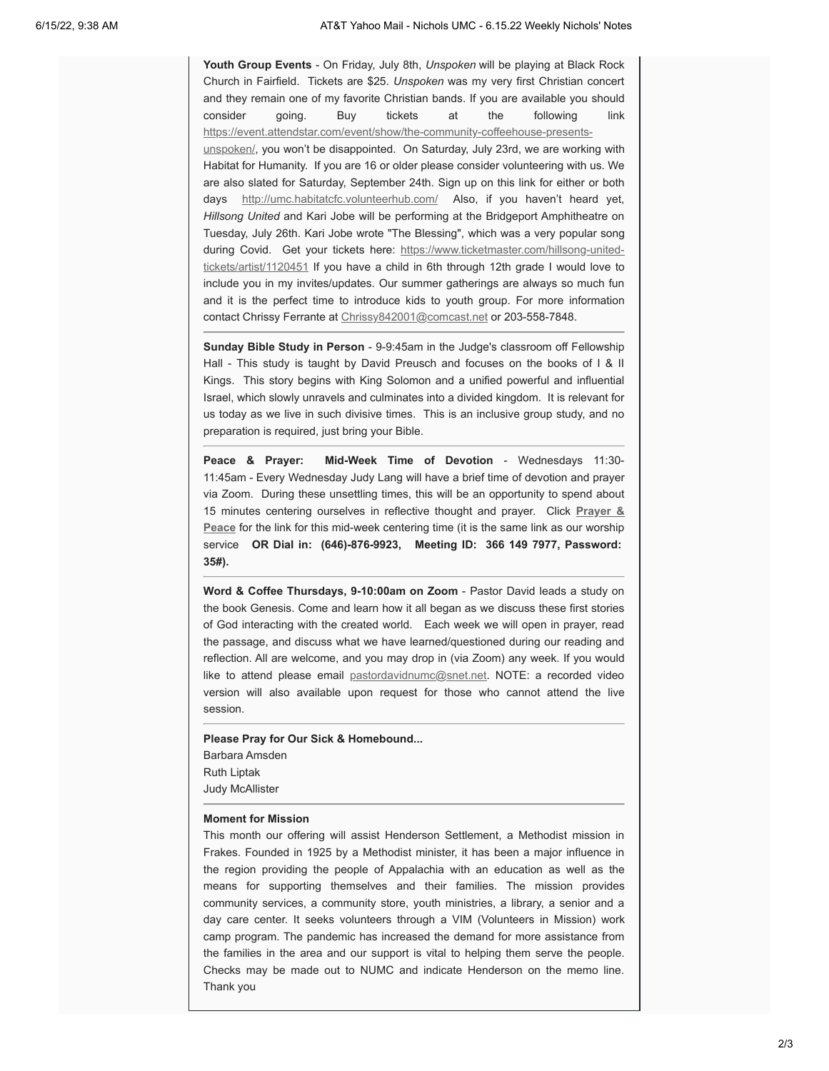**Youth Group Events** - On Friday, July 8th, *Unspoken* will be playing at Black Rock Church in Fairfield. Tickets are \$25. *Unspoken* was my very first Christian concert and they remain one of my favorite Christian bands. If you are available you should consider going. Buy tickets at the following link [https://event.attendstar.com/event/show/the-community-coffeehouse-presents](https://nicholsumc.us4.list-manage.com/track/click?u=d09532b52f4e74b81f543ac42&id=ec10372ed9&e=9e577d7e6a)unspoken/, you won't be disappointed. On Saturday, July 23rd, we are working with Habitat for Humanity. If you are 16 or older please consider volunteering with us. We are also slated for Saturday, September 24th. Sign up on this link for either or both days [http://umc.habitatcfc.volunteerhub.com/](https://nicholsumc.us4.list-manage.com/track/click?u=d09532b52f4e74b81f543ac42&id=57e1765caa&e=9e577d7e6a) Also, if you haven't heard yet, *Hillsong United* and Kari Jobe will be performing at the Bridgeport Amphitheatre on Tuesday, July 26th. Kari Jobe wrote "The Blessing", which was a very popular song during Covid. [Get your tickets here: https://www.ticketmaster.com/hillsong-united](https://nicholsumc.us4.list-manage.com/track/click?u=d09532b52f4e74b81f543ac42&id=f07f328962&e=9e577d7e6a)tickets/artist/1120451 If you have a child in 6th through 12th grade I would love to include you in my invites/updates. Our summer gatherings are always so much fun and it is the perfect time to introduce kids to youth group. For more information contact Chrissy Ferrante at [Chrissy842001@comcast.net](mailto:Chrissy842001@comcast.net) or 203-558-7848.

**Sunday Bible Study in Person** - 9-9:45am in the Judge's classroom off Fellowship Hall - This study is taught by David Preusch and focuses on the books of I & II Kings. This story begins with King Solomon and a unified powerful and influential Israel, which slowly unravels and culminates into a divided kingdom. It is relevant for us today as we live in such divisive times. This is an inclusive group study, and no preparation is required, just bring your Bible.

**Peace & Prayer: Mid-Week Time of Devotion** - Wednesdays 11:30- 11:45am - Every Wednesday Judy Lang will have a brief time of devotion and prayer via Zoom. During these unsettling times, this will be an opportunity to spend about 15 minutes centering ourselves in reflective thought and prayer. Click **Prayer & Peace** [for the link for this mid-week centering time \(it is the same link as our worship](https://nicholsumc.us4.list-manage.com/track/click?u=d09532b52f4e74b81f543ac42&id=d555a68138&e=9e577d7e6a) service **OR Dial in: (646)-876-9923, Meeting ID: 366 149 7977, Password: 35#).**

**Word & Coffee Thursdays, 9-10:00am on Zoom** - Pastor David leads a study on the book Genesis. Come and learn how it all began as we discuss these first stories of God interacting with the created world. Each week we will open in prayer, read the passage, and discuss what we have learned/questioned during our reading and reflection. All are welcome, and you may drop in (via Zoom) any week. If you would like to attend please email [pastordavidnumc@snet.net.](mailto:pastordavidnumc@snet.net) NOTE: a recorded video version will also available upon request for those who cannot attend the live session.

**Please Pray for Our Sick & Homebound...** Barbara Amsden Ruth Liptak

Judy McAllister

## **Moment for Mission**

This month our offering will assist Henderson Settlement, a Methodist mission in Frakes. Founded in 1925 by a Methodist minister, it has been a major influence in the region providing the people of Appalachia with an education as well as the means for supporting themselves and their families. The mission provides community services, a community store, youth ministries, a library, a senior and a day care center. It seeks volunteers through a VIM (Volunteers in Mission) work camp program. The pandemic has increased the demand for more assistance from the families in the area and our support is vital to helping them serve the people. Checks may be made out to NUMC and indicate Henderson on the memo line. Thank you